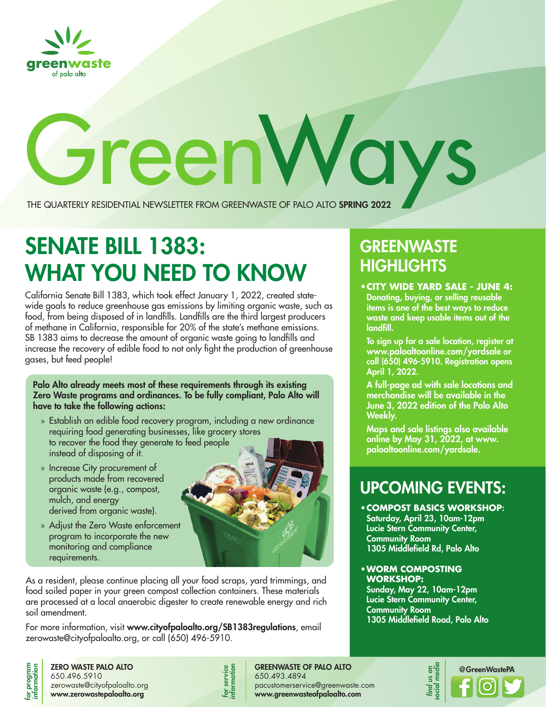

# Green Ways The Quarterly Residential Newsletter FROM GREENWASTE OF PALO ALTO SPRING 2022

# SENATE BILL 1383: WHAT YOU NEED TO KNOW **HIGHLIGHIS**

California Senate Bill 1383, which took effect January 1, 2022, created statewide goals to reduce greenhouse gas emissions by limiting organic waste, such as food, from being disposed of in landfills. Landfills are the third largest producers of methane in California, responsible for 20% of the state's methane emissions. SB 1383 aims to decrease the amount of organic waste going to landfills and increase the recovery of edible food to not only fight the production of greenhouse gases, but feed people!

Palo Alto already meets most of these requirements through its existing Zero Waste programs and ordinances. To be fully compliant, Palo Alto will have to take the following actions:

- » Establish an edible food recovery program, including a new ordinance requiring food generating businesses, like grocery stores to recover the food they generate to feed people instead of disposing of it.
- » Increase City procurement of products made from recovered organic waste (e.g., compost, mulch, and energy derived from organic waste).
- » Adjust the Zero Waste enforcement program to incorporate the new monitoring and compliance requirements.



As a resident, please continue placing all your food scraps, yard trimmings, and food soiled paper in your green compost collection containers. These materials are processed at a local anaerobic digester to create renewable energy and rich soil amendment.

For more information, visit www.cityofpaloalto.org/SB1383regulations, email zerowaste@cityofpaloalto.org, or call (650) 496-5910.

# for program<br>information

ZERO WASTE PALO ALTO 650.496.5910 zerowaste@cityofpaloalto.org www.zerowastepaloalto.org



GREENWASTE OF PALO ALTO 650.493.4894 pacustomerservice@greenwaste.com www.greenwasteofpaloalto.com

## **GREENWASTE HIGHLIGHTS**

Donating, buying, or selling reusable items is one of the best ways to reduce waste and keep usable items out of the landfill.

To sign up for a sale location, register at www.paloaltoonline.com/yardsale or call (650) 496-5910. Registration opens April 1, 2022.

A full-page ad with sale locations and merchandise will be available in the June 3, 2022 edition of the Palo Alto Weekly.

Maps and sale listings also available online by May 31, 2022, at www. paloaltoonline.com/yardsale.

## UPCOMING EVENTS:

- **•COMPOST BASICS WORKSHOP**: Saturday, April 23, 10am-12pm Lucie Stern Community Center, Community Room 1305 Middlefield Rd, Palo Alto
- **•WORM COMPOSTING WORKSHOP:**

Sunday, May 22, 10am-12pm Lucie Stern Community Center, Community Room 1305 Middlefield Road, Palo Alto